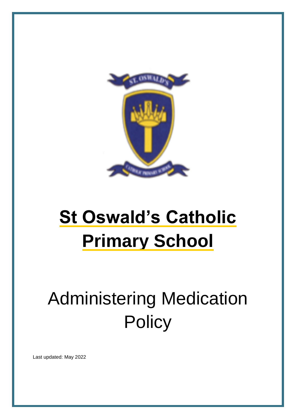

# **St Oswald's Catholic Primary School**

# Administering Medication **Policy**

Last updated: May 2022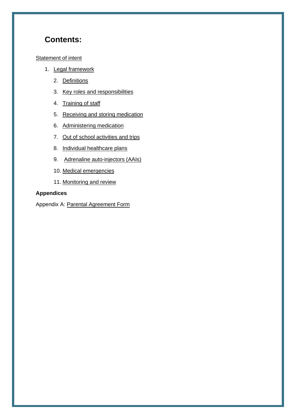## **Contents:**

#### **[Statement of intent](#page-2-0)**

- 1. [Legal framework](#page-3-0)
	- 2. [Definitions](#page-3-1)
	- 3. [Key roles and responsibilities](#page-3-2)
	- 4. [Training of staff](#page-4-0)
	- 5. [Receiving and storing medication](#page-5-0)
	- 6. [Administering medication](#page-7-0)
	- 7. [Out of school activities and trips](#page-8-0)
	- 8. [Individual healthcare plans](#page-8-1)
	- 9. [Adrenaline auto-injectors \(AAIs\)](#page-9-0)
	- 10. [Medical emergencies](#page-12-0)
	- 11. Monitoring [and review](#page-12-1)

#### **Appendices**

Appendix A: [Parental Agreement Form](#page-13-0)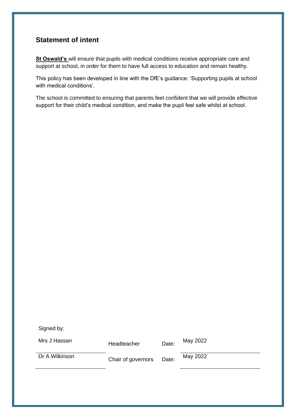#### <span id="page-2-0"></span>**Statement of intent**

**St Oswald's** will ensure that pupils with medical conditions receive appropriate care and support at school, in order for them to have full access to education and remain healthy.

This policy has been developed in line with the DfE's guidance: 'Supporting pupils at school with medical conditions'.

The school is committed to ensuring that parents feel confident that we will provide effective support for their child's medical condition, and make the pupil feel safe whilst at school.

Signed by:

Mrs J Hassan **Headteacher** Date: May 2022

Dr A Wilkinson **Chair of governors** Date: May 2022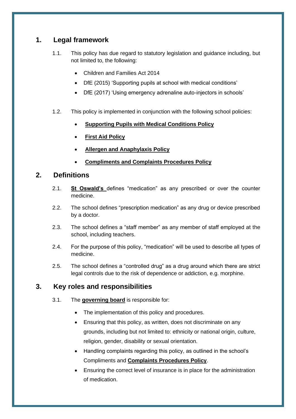## <span id="page-3-0"></span>**1. Legal framework**

- 1.1. This policy has due regard to statutory legislation and guidance including, but not limited to, the following:
	- Children and Families Act 2014
	- DfE (2015) 'Supporting pupils at school with medical conditions'
	- DfE (2017) 'Using emergency adrenaline auto-injectors in schools'
- 1.2. This policy is implemented in conjunction with the following school policies:
	- **Supporting Pupils with Medical Conditions Policy**
	- **First Aid Policy**
	- **Allergen and Anaphylaxis Policy**
	- **Compliments and Complaints Procedures Policy**

#### <span id="page-3-1"></span>**2. Definitions**

- 2.1. **St Oswald's** defines "medication" as any prescribed or over the counter medicine.
- 2.2. The school defines "prescription medication" as any drug or device prescribed by a doctor.
- 2.3. The school defines a "staff member" as any member of staff employed at the school, including teachers.
- 2.4. For the purpose of this policy, "medication" will be used to describe all types of medicine.
- 2.5. The school defines a "controlled drug" as a drug around which there are strict legal controls due to the risk of dependence or addiction, e.g. morphine.

## <span id="page-3-2"></span>**3. Key roles and responsibilities**

- 3.1. The **governing board** is responsible for:
	- The implementation of this policy and procedures.
	- Ensuring that this policy, as written, does not discriminate on any grounds, including but not limited to: ethnicity or national origin, culture, religion, gender, disability or sexual orientation.
	- Handling complaints regarding this policy, as outlined in the school's Compliments and **Complaints Procedures Policy**.
	- Ensuring the correct level of insurance is in place for the administration of medication.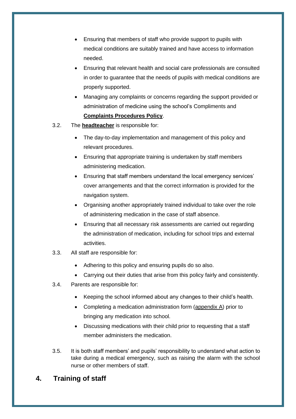- Ensuring that members of staff who provide support to pupils with medical conditions are suitably trained and have access to information needed.
- Ensuring that relevant health and social care professionals are consulted in order to guarantee that the needs of pupils with medical conditions are properly supported.
- Managing any complaints or concerns regarding the support provided or administration of medicine using the school's Compliments and **Complaints Procedures Policy**.
- 3.2. The **headteacher** is responsible for:
	- The day-to-day implementation and management of this policy and relevant procedures.
	- Ensuring that appropriate training is undertaken by staff members administering medication.
	- Ensuring that staff members understand the local emergency services' cover arrangements and that the correct information is provided for the navigation system.
	- Organising another appropriately trained individual to take over the role of administering medication in the case of staff absence.
	- Ensuring that all necessary risk assessments are carried out regarding the administration of medication, including for school trips and external activities.
- 3.3. All staff are responsible for:
	- Adhering to this policy and ensuring pupils do so also.
	- Carrying out their duties that arise from this policy fairly and consistently.
- 3.4. Parents are responsible for:
	- Keeping the school informed about any changes to their child's health.
	- Completing a medication administration form [\(appendix A\)](#page-13-0) prior to bringing any medication into school.
	- Discussing medications with their child prior to requesting that a staff member administers the medication.
- 3.5. It is both staff members' and pupils' responsibility to understand what action to take during a medical emergency, such as raising the alarm with the school nurse or other members of staff.

## <span id="page-4-0"></span>**4. Training of staff**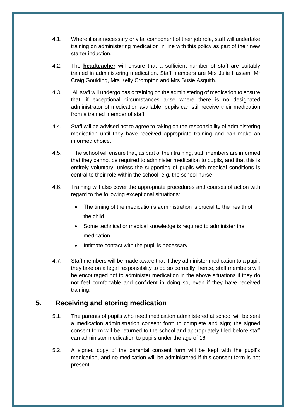- 4.1. Where it is a necessary or vital component of their job role, staff will undertake training on administering medication in line with this policy as part of their new starter induction.
- 4.2. The **headteacher** will ensure that a sufficient number of staff are suitably trained in administering medication. Staff members are Mrs Julie Hassan, Mr Craig Goulding, Mrs Kelly Crompton and Mrs Susie Asquith.
- 4.3. All staff will undergo basic training on the administering of medication to ensure that, if exceptional circumstances arise where there is no designated administrator of medication available, pupils can still receive their medication from a trained member of staff.
- 4.4. Staff will be advised not to agree to taking on the responsibility of administering medication until they have received appropriate training and can make an informed choice.
- 4.5. The school will ensure that, as part of their training, staff members are informed that they cannot be required to administer medication to pupils, and that this is entirely voluntary, unless the supporting of pupils with medical conditions is central to their role within the school, e.g. the school nurse.
- 4.6. Training will also cover the appropriate procedures and courses of action with regard to the following exceptional situations:
	- The timing of the medication's administration is crucial to the health of the child
	- Some technical or medical knowledge is required to administer the medication
	- Intimate contact with the pupil is necessary
- 4.7. Staff members will be made aware that if they administer medication to a pupil, they take on a legal responsibility to do so correctly; hence, staff members will be encouraged not to administer medication in the above situations if they do not feel comfortable and confident in doing so, even if they have received training.

#### <span id="page-5-0"></span>**5. Receiving and storing medication**

- 5.1. The parents of pupils who need medication administered at school will be sent a medication administration consent form to complete and sign; the signed consent form will be returned to the school and appropriately filed before staff can administer medication to pupils under the age of 16.
- 5.2. A signed copy of the parental consent form will be kept with the pupil's medication, and no medication will be administered if this consent form is not present.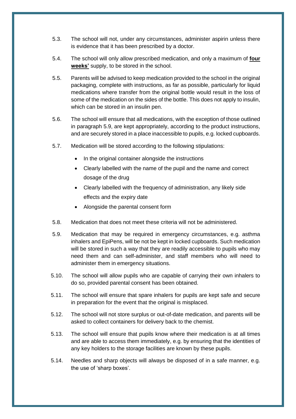- 5.3. The school will not, under any circumstances, administer aspirin unless there is evidence that it has been prescribed by a doctor.
- 5.4. The school will only allow prescribed medication, and only a maximum of **four weeks'** supply, to be stored in the school.
- 5.5. Parents will be advised to keep medication provided to the school in the original packaging, complete with instructions, as far as possible, particularly for liquid medications where transfer from the original bottle would result in the loss of some of the medication on the sides of the bottle. This does not apply to insulin, which can be stored in an insulin pen.
- 5.6. The school will ensure that all medications, with the exception of those outlined in paragraph 5.9, are kept appropriately, according to the product instructions, and are securely stored in a place inaccessible to pupils, e.g. locked cupboards.
- 5.7. Medication will be stored according to the following stipulations:
	- In the original container alongside the instructions
	- Clearly labelled with the name of the pupil and the name and correct dosage of the drug
	- Clearly labelled with the frequency of administration, any likely side effects and the expiry date
	- Alongside the parental consent form
- 5.8. Medication that does not meet these criteria will not be administered.
- 5.9. Medication that may be required in emergency circumstances, e.g. asthma inhalers and EpiPens, will be not be kept in locked cupboards. Such medication will be stored in such a way that they are readily accessible to pupils who may need them and can self-administer, and staff members who will need to administer them in emergency situations.
- 5.10. The school will allow pupils who are capable of carrying their own inhalers to do so, provided parental consent has been obtained.
- 5.11. The school will ensure that spare inhalers for pupils are kept safe and secure in preparation for the event that the original is misplaced.
- 5.12. The school will not store surplus or out-of-date medication, and parents will be asked to collect containers for delivery back to the chemist.
- 5.13. The school will ensure that pupils know where their medication is at all times and are able to access them immediately, e.g. by ensuring that the identities of any key holders to the storage facilities are known by these pupils.
- 5.14. Needles and sharp objects will always be disposed of in a safe manner, e.g. the use of 'sharp boxes'.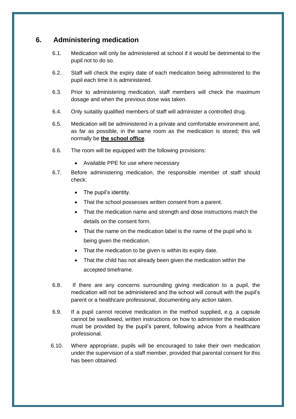#### <span id="page-7-0"></span>**6. Administering medication**

- 6.1. Medication will only be administered at school if it would be detrimental to the pupil not to do so.
- 6.2. Staff will check the expiry date of each medication being administered to the pupil each time it is administered.
- 6.3. Prior to administering medication, staff members will check the maximum dosage and when the previous dose was taken.
- 6.4. Only suitably qualified members of staff will administer a controlled drug.
- 6.5. Medication will be administered in a private and comfortable environment and, as far as possible, in the same room as the medication is stored; this will normally be **the school office**.
- 6.6. The room will be equipped with the following provisions:
	- Available PPE for use where necessary
- 6.7. Before administering medication, the responsible member of staff should check:
	- The pupil's identity.
	- That the school possesses written consent from a parent.
	- That the medication name and strength and dose instructions match the details on the consent form.
	- That the name on the medication label is the name of the pupil who is being given the medication.
	- That the medication to be given is within its expiry date.
	- That the child has not already been given the medication within the accepted timeframe.
- 6.8. If there are any concerns surrounding giving medication to a pupil, the medication will not be administered and the school will consult with the pupil's parent or a healthcare professional, documenting any action taken.
- 6.9. If a pupil cannot receive medication in the method supplied, e.g. a capsule cannot be swallowed, written instructions on how to administer the medication must be provided by the pupil's parent, following advice from a healthcare professional.
- 6.10. Where appropriate, pupils will be encouraged to take their own medication under the supervision of a staff member, provided that parental consent for this has been obtained.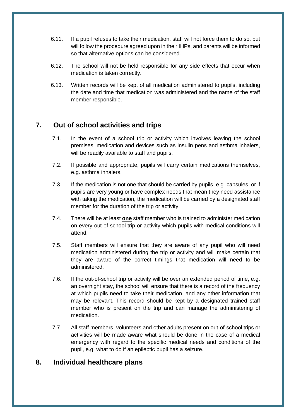- 6.11. If a pupil refuses to take their medication, staff will not force them to do so, but will follow the procedure agreed upon in their IHPs, and parents will be informed so that alternative options can be considered.
- 6.12. The school will not be held responsible for any side effects that occur when medication is taken correctly.
- 6.13. Written records will be kept of all medication administered to pupils, including the date and time that medication was administered and the name of the staff member responsible.

#### <span id="page-8-0"></span>**7. Out of school activities and trips**

- 7.1. In the event of a school trip or activity which involves leaving the school premises, medication and devices such as insulin pens and asthma inhalers, will be readily available to staff and pupils.
- 7.2. If possible and appropriate, pupils will carry certain medications themselves, e.g. asthma inhalers.
- 7.3. If the medication is not one that should be carried by pupils, e.g. capsules, or if pupils are very young or have complex needs that mean they need assistance with taking the medication, the medication will be carried by a designated staff member for the duration of the trip or activity.
- 7.4. There will be at least **one** staff member who is trained to administer medication on every out-of-school trip or activity which pupils with medical conditions will attend.
- 7.5. Staff members will ensure that they are aware of any pupil who will need medication administered during the trip or activity and will make certain that they are aware of the correct timings that medication will need to be administered.
- 7.6. If the out-of-school trip or activity will be over an extended period of time, e.g. an overnight stay, the school will ensure that there is a record of the frequency at which pupils need to take their medication, and any other information that may be relevant. This record should be kept by a designated trained staff member who is present on the trip and can manage the administering of medication.
- 7.7. All staff members, volunteers and other adults present on out-of-school trips or activities will be made aware what should be done in the case of a medical emergency with regard to the specific medical needs and conditions of the pupil, e.g. what to do if an epileptic pupil has a seizure.

#### <span id="page-8-1"></span>**8. Individual healthcare plans**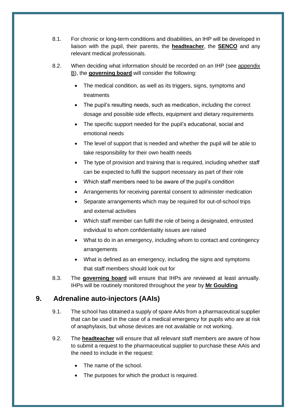- 8.1. For chronic or long-term conditions and disabilities, an IHP will be developed in liaison with the pupil, their parents, the **headteacher**, the **SENCO** and any relevant medical professionals.
- 8.2. When deciding what information should be recorded on an IHP (see appendix B), the **governing board** will consider the following:
	- The medical condition, as well as its triggers, signs, symptoms and treatments
	- The pupil's resulting needs, such as medication, including the correct dosage and possible side effects, equipment and dietary requirements
	- The specific support needed for the pupil's educational, social and emotional needs
	- The level of support that is needed and whether the pupil will be able to take responsibility for their own health needs
	- The type of provision and training that is required, including whether staff can be expected to fulfil the support necessary as part of their role
	- Which staff members need to be aware of the pupil's condition
	- Arrangements for receiving parental consent to administer medication
	- Separate arrangements which may be required for out-of-school trips and external activities
	- Which staff member can fulfil the role of being a designated, entrusted individual to whom confidentiality issues are raised
	- What to do in an emergency, including whom to contact and contingency arrangements
	- What is defined as an emergency, including the signs and symptoms that staff members should look out for
- 8.3. The **governing board** will ensure that IHPs are reviewed at least annually. IHPs will be routinely monitored throughout the year by **Mr Goulding**

## <span id="page-9-0"></span>**9. Adrenaline auto-injectors (AAIs)**

- 9.1. The school has obtained a supply of spare AAIs from a pharmaceutical supplier that can be used in the case of a medical emergency for pupils who are at risk of anaphylaxis, but whose devices are not available or not working.
- 9.2. The **headteacher** will ensure that all relevant staff members are aware of how to submit a request to the pharmaceutical supplier to purchase these AAIs and the need to include in the request:
	- The name of the school.
	- The purposes for which the product is required.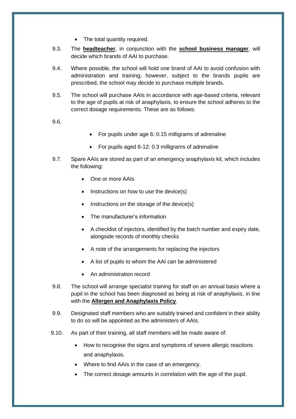- The total quantity required.
- 9.3. The **headteacher**, in conjunction with the **school business manager**, will decide which brands of AAI to purchase.
- 9.4. Where possible, the school will hold one brand of AAI to avoid confusion with administration and training; however, subject to the brands pupils are prescribed, the school may decide to purchase multiple brands.
- 9.5. The school will purchase AAIs in accordance with age-based criteria, relevant to the age of pupils at risk of anaphylaxis, to ensure the school adheres to the correct dosage requirements. These are as follows:

9.6.

- For pupils under age 6: 0.15 milligrams of adrenaline
- For pupils aged 6-12: 0.3 milligrams of adrenaline
- 9.7. Spare AAIs are stored as part of an emergency anaphylaxis kit, which includes the following:
	- One or more AAIs
	- Instructions on how to use the device(s)
	- Instructions on the storage of the device(s)
	- The manufacturer's information
	- A checklist of injectors, identified by the batch number and expiry date, alongside records of monthly checks
	- A note of the arrangements for replacing the injectors
	- A list of pupils to whom the AAI can be administered
	- An administration record
- 9.8. The school will arrange specialist training for staff on an annual basis where a pupil in the school has been diagnosed as being at risk of anaphylaxis, in line with the **Allergen and Anaphylaxis Policy**.
- 9.9. Designated staff members who are suitably trained and confident in their ability to do so will be appointed as the administers of AAIs.
- 9.10. As part of their training, all staff members will be made aware of:
	- How to recognise the signs and symptoms of severe allergic reactions and anaphylaxis.
	- Where to find AAIs in the case of an emergency.
	- The correct dosage amounts in correlation with the age of the pupil.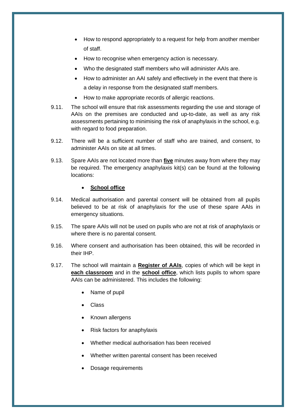- How to respond appropriately to a request for help from another member of staff.
- How to recognise when emergency action is necessary.
- Who the designated staff members who will administer AAIs are.
- How to administer an AAI safely and effectively in the event that there is a delay in response from the designated staff members.
- How to make appropriate records of allergic reactions.
- 9.11. The school will ensure that risk assessments regarding the use and storage of AAIs on the premises are conducted and up-to-date, as well as any risk assessments pertaining to minimising the risk of anaphylaxis in the school, e.g. with regard to food preparation.
- 9.12. There will be a sufficient number of staff who are trained, and consent, to administer AAIs on site at all times.
- 9.13. Spare AAIs are not located more than **five** minutes away from where they may be required. The emergency anaphylaxis kit(s) can be found at the following locations:

#### • **School office**

- 9.14. Medical authorisation and parental consent will be obtained from all pupils believed to be at risk of anaphylaxis for the use of these spare AAIs in emergency situations.
- 9.15. The spare AAIs will not be used on pupils who are not at risk of anaphylaxis or where there is no parental consent.
- 9.16. Where consent and authorisation has been obtained, this will be recorded in their IHP.
- 9.17. The school will maintain a **Register of AAIs**, copies of which will be kept in **each classroom** and in the **school office**, which lists pupils to whom spare AAIs can be administered. This includes the following:
	- Name of pupil
	- Class
	- Known allergens
	- Risk factors for anaphylaxis
	- Whether medical authorisation has been received
	- Whether written parental consent has been received
	- Dosage requirements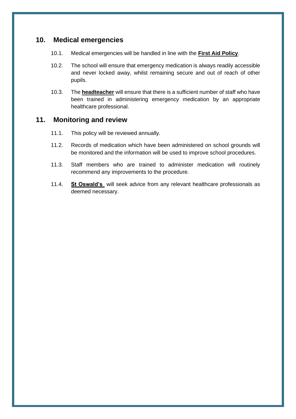#### <span id="page-12-0"></span>**10. Medical emergencies**

- 10.1. Medical emergencies will be handled in line with the **First Aid Policy**.
- 10.2. The school will ensure that emergency medication is always readily accessible and never locked away, whilst remaining secure and out of reach of other pupils.
- 10.3. The **headteacher** will ensure that there is a sufficient number of staff who have been trained in administering emergency medication by an appropriate healthcare professional.

#### <span id="page-12-1"></span>**11. Monitoring and review**

- 11.1. This policy will be reviewed annually.
- 11.2. Records of medication which have been administered on school grounds will be monitored and the information will be used to improve school procedures.
- 11.3. Staff members who are trained to administer medication will routinely recommend any improvements to the procedure.
- 11.4. **St Oswald's** will seek advice from any relevant healthcare professionals as deemed necessary.